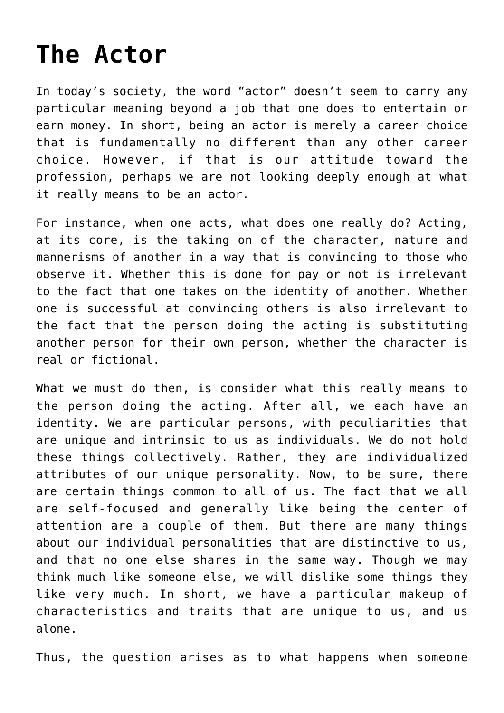## **[The Actor](http://reproachofmen.org/2008/02/the-actor/)**

In today's society, the word "actor" doesn't seem to carry any particular meaning beyond a job that one does to entertain or earn money. In short, being an actor is merely a career choice that is fundamentally no different than any other career choice. However, if that is our attitude toward the profession, perhaps we are not looking deeply enough at what it really means to be an actor.

For instance, when one acts, what does one really do? Acting, at its core, is the taking on of the character, nature and mannerisms of another in a way that is convincing to those who observe it. Whether this is done for pay or not is irrelevant to the fact that one takes on the identity of another. Whether one is successful at convincing others is also irrelevant to the fact that the person doing the acting is substituting another person for their own person, whether the character is real or fictional.

What we must do then, is consider what this really means to the person doing the acting. After all, we each have an identity. We are particular persons, with peculiarities that are unique and intrinsic to us as individuals. We do not hold these things collectively. Rather, they are individualized attributes of our unique personality. Now, to be sure, there are certain things common to all of us. The fact that we all are self-focused and generally like being the center of attention are a couple of them. But there are many things about our individual personalities that are distinctive to us, and that no one else shares in the same way. Though we may think much like someone else, we will dislike some things they like very much. In short, we have a particular makeup of characteristics and traits that are unique to us, and us alone.

Thus, the question arises as to what happens when someone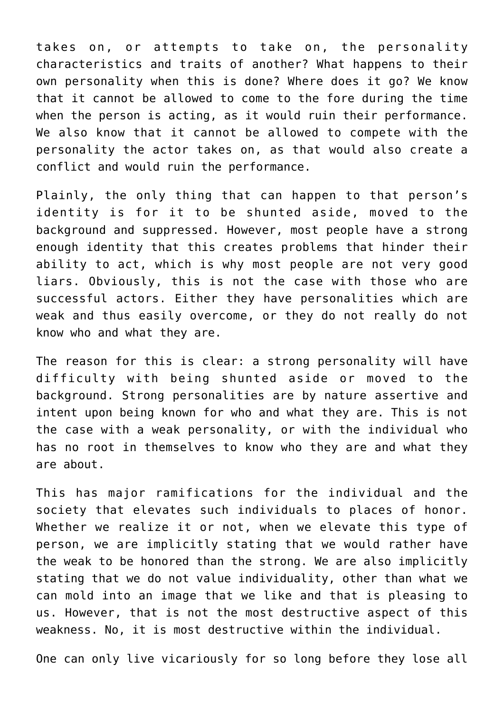takes on, or attempts to take on, the personality characteristics and traits of another? What happens to their own personality when this is done? Where does it go? We know that it cannot be allowed to come to the fore during the time when the person is acting, as it would ruin their performance. We also know that it cannot be allowed to compete with the personality the actor takes on, as that would also create a conflict and would ruin the performance.

Plainly, the only thing that can happen to that person's identity is for it to be shunted aside, moved to the background and suppressed. However, most people have a strong enough identity that this creates problems that hinder their ability to act, which is why most people are not very good liars. Obviously, this is not the case with those who are successful actors. Either they have personalities which are weak and thus easily overcome, or they do not really do not know who and what they are.

The reason for this is clear: a strong personality will have difficulty with being shunted aside or moved to the background. Strong personalities are by nature assertive and intent upon being known for who and what they are. This is not the case with a weak personality, or with the individual who has no root in themselves to know who they are and what they are about.

This has major ramifications for the individual and the society that elevates such individuals to places of honor. Whether we realize it or not, when we elevate this type of person, we are implicitly stating that we would rather have the weak to be honored than the strong. We are also implicitly stating that we do not value individuality, other than what we can mold into an image that we like and that is pleasing to us. However, that is not the most destructive aspect of this weakness. No, it is most destructive within the individual.

One can only live vicariously for so long before they lose all